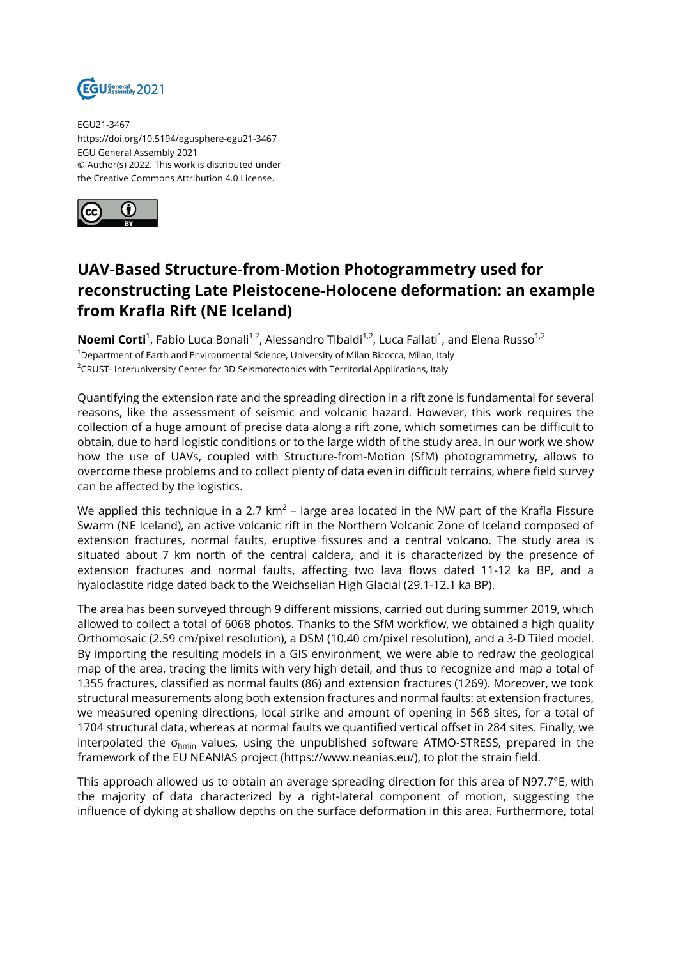

EGU21-3467 https://doi.org/10.5194/egusphere-egu21-3467 EGU General Assembly 2021 © Author(s) 2022. This work is distributed under the Creative Commons Attribution 4.0 License.



## **UAV-Based Structure-from-Motion Photogrammetry used for reconstructing Late Pleistocene-Holocene deformation: an example from Krafla Rift (NE Iceland)**

**Noemi Corti**<sup>1</sup>, Fabio Luca Bonali<sup>1,2</sup>, Alessandro Tibaldi<sup>1,2</sup>, Luca Fallati<sup>1</sup>, and Elena Russo<sup>1,2</sup> <sup>1</sup>Department of Earth and Environmental Science, University of Milan Bicocca, Milan, Italy <sup>2</sup>CRUST- Interuniversity Center for 3D Seismotectonics with Territorial Applications, Italy

Quantifying the extension rate and the spreading direction in a rift zone is fundamental for several reasons, like the assessment of seismic and volcanic hazard. However, this work requires the collection of a huge amount of precise data along a rift zone, which sometimes can be difficult to obtain, due to hard logistic conditions or to the large width of the study area. In our work we show how the use of UAVs, coupled with Structure-from-Motion (SfM) photogrammetry, allows to overcome these problems and to collect plenty of data even in difficult terrains, where field survey can be affected by the logistics.

We applied this technique in a 2.7 km $^2$  – large area located in the NW part of the Krafla Fissure Swarm (NE Iceland), an active volcanic rift in the Northern Volcanic Zone of Iceland composed of extension fractures, normal faults, eruptive fissures and a central volcano. The study area is situated about 7 km north of the central caldera, and it is characterized by the presence of extension fractures and normal faults, affecting two lava flows dated 11-12 ka BP, and a hyaloclastite ridge dated back to the Weichselian High Glacial (29.1-12.1 ka BP).

The area has been surveyed through 9 different missions, carried out during summer 2019, which allowed to collect a total of 6068 photos. Thanks to the SfM workflow, we obtained a high quality Orthomosaic (2.59 cm/pixel resolution), a DSM (10.40 cm/pixel resolution), and a 3-D Tiled model. By importing the resulting models in a GIS environment, we were able to redraw the geological map of the area, tracing the limits with very high detail, and thus to recognize and map a total of 1355 fractures, classified as normal faults (86) and extension fractures (1269). Moreover, we took structural measurements along both extension fractures and normal faults: at extension fractures, we measured opening directions, local strike and amount of opening in 568 sites, for a total of 1704 structural data, whereas at normal faults we quantified vertical offset in 284 sites. Finally, we interpolated the  $\sigma_{\text{hmin}}$  values, using the unpublished software ATMO-STRESS, prepared in the framework of the EU NEANIAS project (https://www.neanias.eu/), to plot the strain field.

This approach allowed us to obtain an average spreading direction for this area of N97.7°E, with the majority of data characterized by a right-lateral component of motion, suggesting the influence of dyking at shallow depths on the surface deformation in this area. Furthermore, total